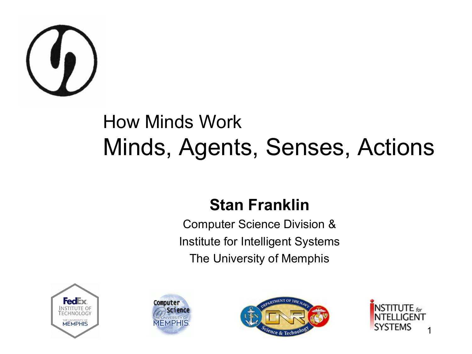

#### How Minds Work Minds, Agents, Senses, Actions

#### **Stan Franklin**

Computer Science Division & Institute for Intelligent Systems The University of Memphis







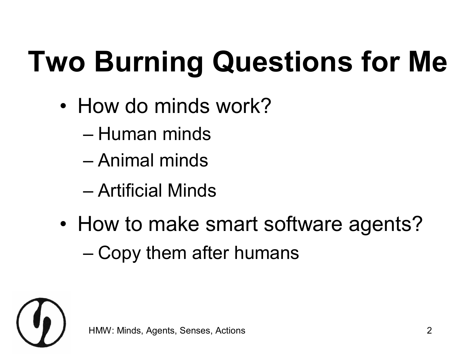# **Two Burning Questions for Me**

- How do minds work?
	- Human minds
	- Animal minds
	- Artificial Minds
- How to make smart software agents? – Copy them after humans

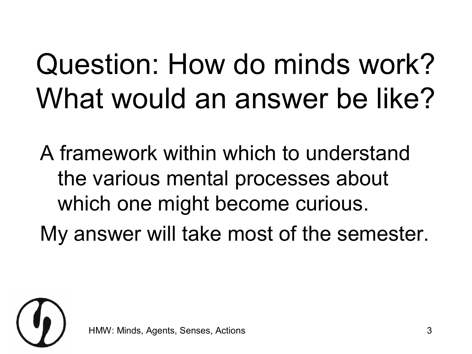## Question: How do minds work? What would an answer be like?

A framework within which to understand the various mental processes about which one might become curious.

My answer will take most of the semester.

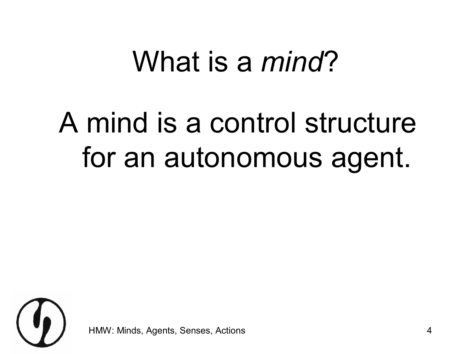#### What is a *mind*?

#### A mind is a control structure for an autonomous agent.

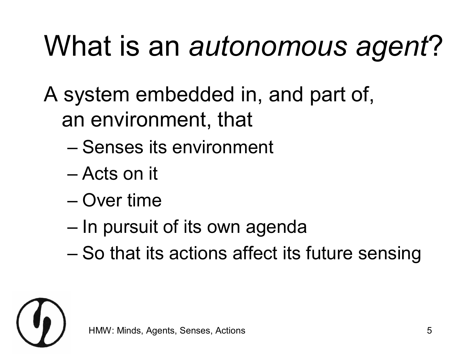## What is an *autonomous agent*?

- A system embedded in, and part of, an environment, that
	- Senses its environment
	- Acts on it
	- Over time
	- In pursuit of its own agenda
	- So that its actions affect its future sensing

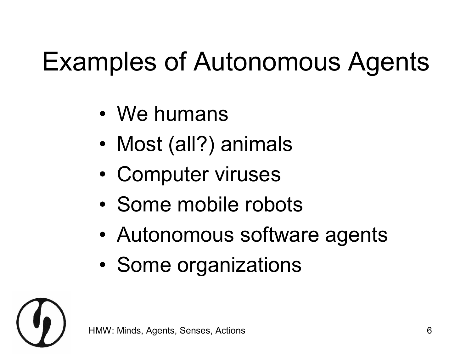#### Examples of Autonomous Agents

- We humans
- Most (all?) animals
- Computer viruses
- Some mobile robots
- Autonomous software agents
- Some organizations

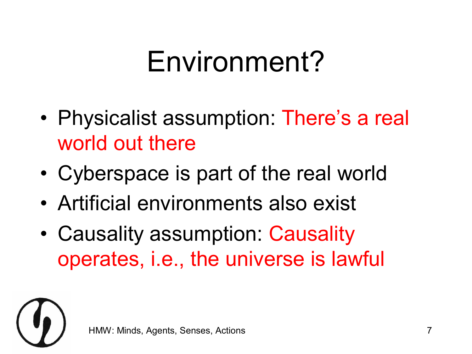#### Environment?

- Physicalist assumption: There's a real world out there
- Cyberspace is part of the real world
- Artificial environments also exist
- Causality assumption: Causality operates, i.e., the universe is lawful

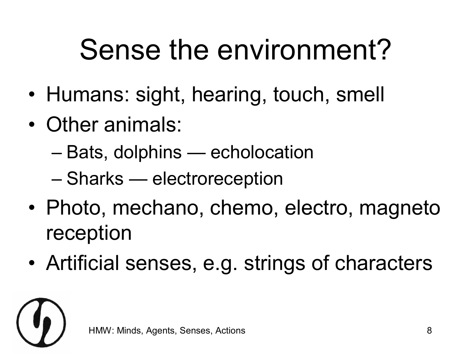#### Sense the environment?

- Humans: sight, hearing, touch, smell
- Other animals:
	- Bats, dolphins echolocation
	- Sharks electroreception
- Photo, mechano, chemo, electro, magneto reception
- Artificial senses, e.g. strings of characters

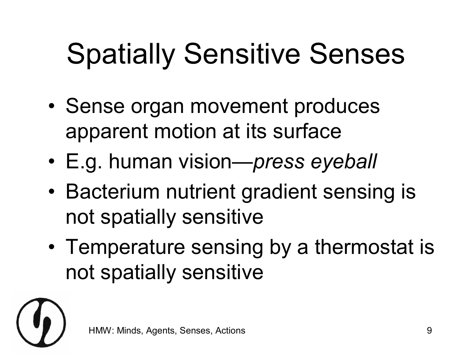## Spatially Sensitive Senses

- Sense organ movement produces apparent motion at its surface
- E.g. human vision—*press eyeball*
- Bacterium nutrient gradient sensing is not spatially sensitive
- Temperature sensing by a thermostat is not spatially sensitive

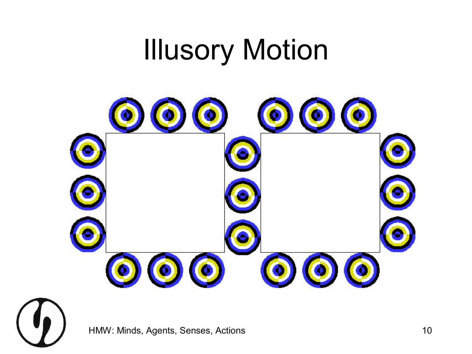#### Illusory Motion



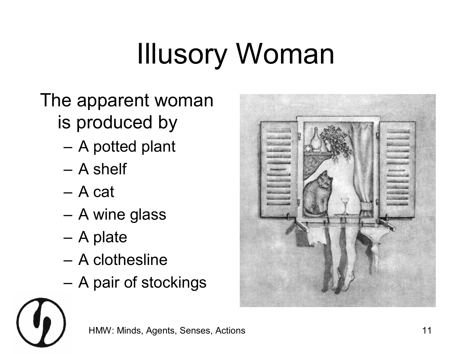# Illusory Woman

#### The apparent woman is produced by

- A potted plant
- A shelf
- A cat
- A wine glass
- A plate
- A clothesline
- A pair of stockings



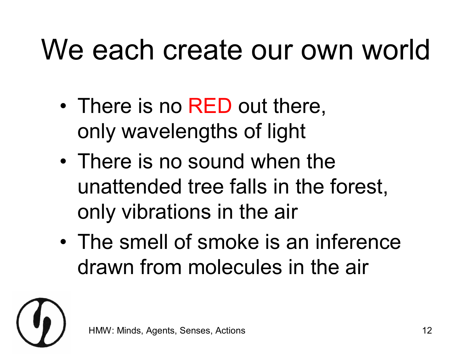#### We each create our own world

- There is no RED out there, only wavelengths of light
- There is no sound when the unattended tree falls in the forest, only vibrations in the air
- The smell of smoke is an inference drawn from molecules in the air

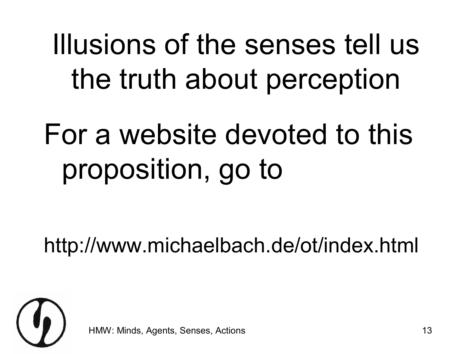Illusions of the senses tell us the truth about perception

## For a website devoted to this proposition, go to

http://www.michaelbach.de/ot/index.html



Minds, Agents, Senses, Actions 13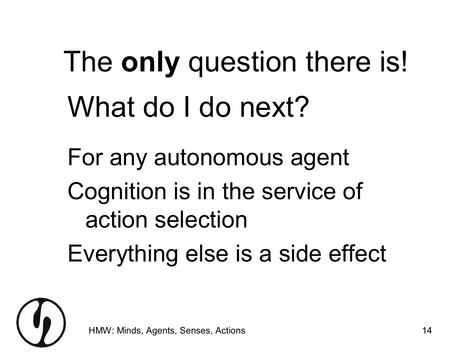The **only** question there is! What do I do next?

For any autonomous agent Cognition is in the service of action selection Everything else is a side effect

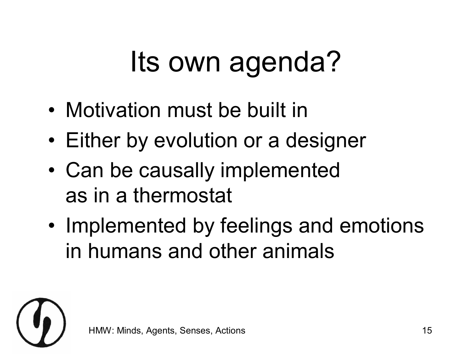## Its own agenda?

- Motivation must be built in
- Either by evolution or a designer
- Can be causally implemented as in a thermostat
- Implemented by feelings and emotions in humans and other animals

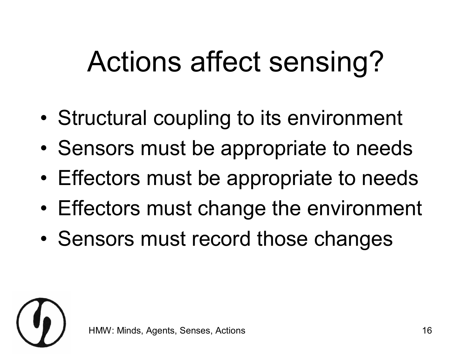## Actions affect sensing?

- Structural coupling to its environment
- Sensors must be appropriate to needs
- Effectors must be appropriate to needs
- Effectors must change the environment
- Sensors must record those changes

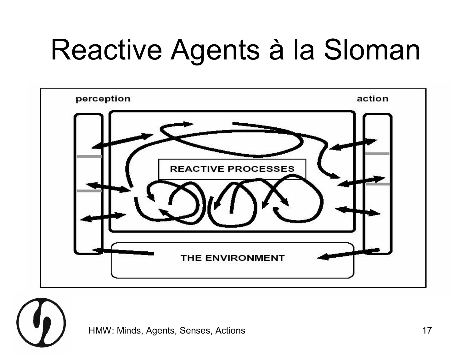## Reactive Agents à la Sloman



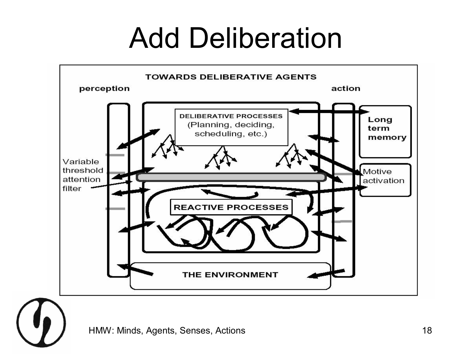#### Add Deliberation

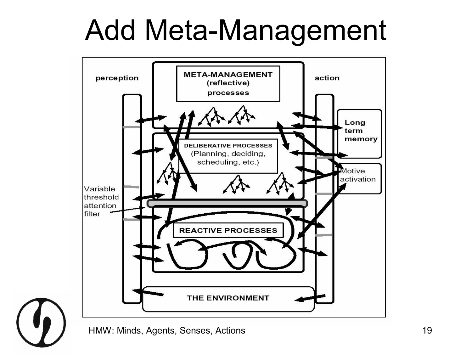#### Add Meta-Management



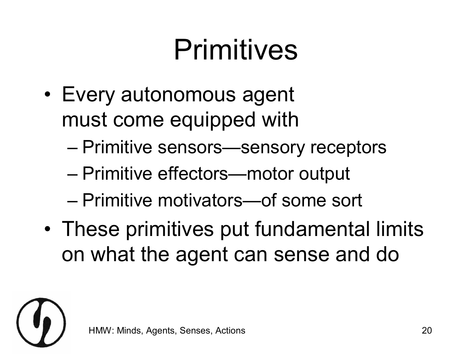#### Primitives

- Every autonomous agent must come equipped with
	- Primitive sensors—sensory receptors
	- Primitive effectors—motor output
	- Primitive motivators—of some sort
- These primitives put fundamental limits on what the agent can sense and do

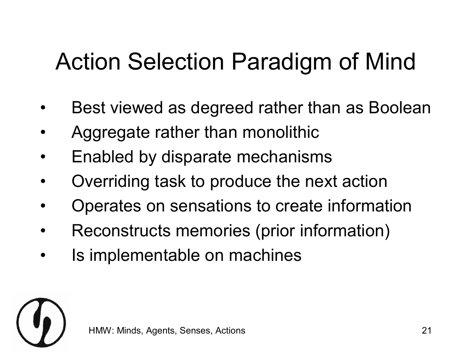#### Action Selection Paradigm of Mind

- Best viewed as degreed rather than as Boolean
- Aggregate rather than monolithic
- Enabled by disparate mechanisms
- Overriding task to produce the next action
- Operates on sensations to create information
- Reconstructs memories (prior information)
- Is implementable on machines

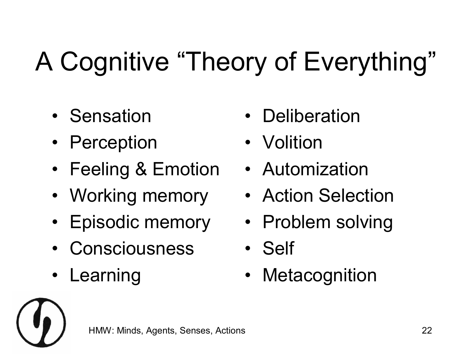#### A Cognitive "Theory of Everything"

- Sensation
- Perception
- Feeling & Emotion
- Working memory
- Episodic memory
- Consciousness
- **Learning**
- **Deliberation**
- **Volition**
- Automization
- Action Selection
- Problem solving
- Self
- **Metacognition**

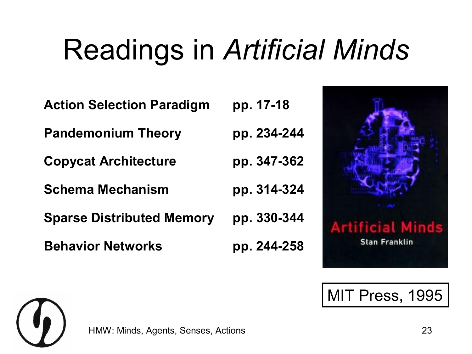### Readings in *Artificial Minds*

| <b>Action Selection Paradigm</b> | pp. 17-18   |
|----------------------------------|-------------|
| <b>Pandemonium Theory</b>        | pp. 234-244 |
| <b>Copycat Architecture</b>      | pp. 347-362 |
| <b>Schema Mechanism</b>          | pp. 314-324 |
| <b>Sparse Distributed Memory</b> | pp. 330-344 |
| <b>Behavior Networks</b>         | pp. 244-258 |



MIT Press, 1995